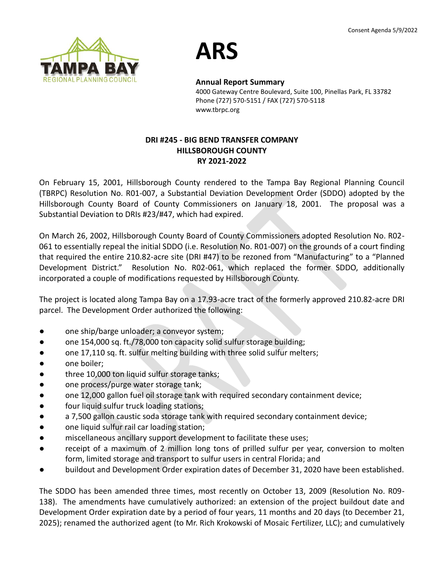



**Annual Report Summary**

4000 Gateway Centre Boulevard, Suite 100, Pinellas Park, FL 33782 Phone (727) 570-5151 / FAX (727) 570-5118 www.tbrpc.org

### **DRI #245 - BIG BEND TRANSFER COMPANY HILLSBOROUGH COUNTY RY 2021-2022**

On February 15, 2001, Hillsborough County rendered to the Tampa Bay Regional Planning Council (TBRPC) Resolution No. R01-007, a Substantial Deviation Development Order (SDDO) adopted by the Hillsborough County Board of County Commissioners on January 18, 2001. The proposal was a Substantial Deviation to DRIs #23/#47, which had expired.

On March 26, 2002, Hillsborough County Board of County Commissioners adopted Resolution No. R02- 061 to essentially repeal the initial SDDO (i.e. Resolution No. R01-007) on the grounds of a court finding that required the entire 210.82-acre site (DRI #47) to be rezoned from "Manufacturing" to a "Planned Development District." Resolution No. R02-061, which replaced the former SDDO, additionally incorporated a couple of modifications requested by Hillsborough County.

The project is located along Tampa Bay on a 17.93-acre tract of the formerly approved 210.82-acre DRI parcel. The Development Order authorized the following:

- one ship/barge unloader; a conveyor system;
- one 154,000 sq. ft./78,000 ton capacity solid sulfur storage building;
- one 17,110 sq. ft. sulfur melting building with three solid sulfur melters;
- one boiler;
- three 10,000 ton liquid sulfur storage tanks;
- one process/purge water storage tank;
- one 12,000 gallon fuel oil storage tank with required secondary containment device;
- four liquid sulfur truck loading stations;
- a 7,500 gallon caustic soda storage tank with required secondary containment device;
- one liquid sulfur rail car loading station;
- miscellaneous ancillary support development to facilitate these uses;
- receipt of a maximum of 2 million long tons of prilled sulfur per year, conversion to molten form, limited storage and transport to sulfur users in central Florida; and
- buildout and Development Order expiration dates of December 31, 2020 have been established.

The SDDO has been amended three times, most recently on October 13, 2009 (Resolution No. R09- 138). The amendments have cumulatively authorized: an extension of the project buildout date and Development Order expiration date by a period of four years, 11 months and 20 days (to December 21, 2025); renamed the authorized agent (to Mr. Rich Krokowski of Mosaic Fertilizer, LLC); and cumulatively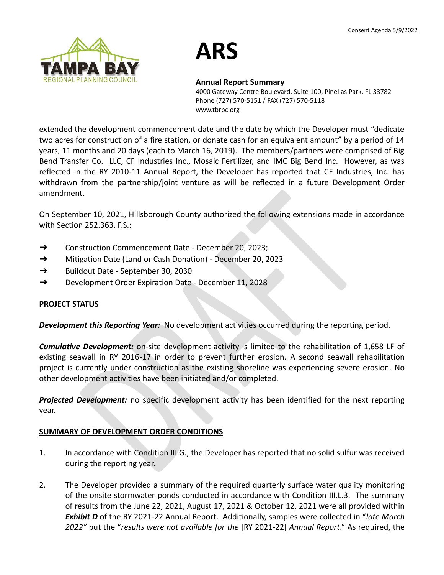

# **ARS**

#### **Annual Report Summary**

4000 Gateway Centre Boulevard, Suite 100, Pinellas Park, FL 33782 Phone (727) 570-5151 / FAX (727) 570-5118 www.tbrpc.org

extended the development commencement date and the date by which the Developer must "dedicate two acres for construction of a fire station, or donate cash for an equivalent amount" by a period of 14 years, 11 months and 20 days (each to March 16, 2019). The members/partners were comprised of Big Bend Transfer Co. LLC, CF Industries Inc., Mosaic Fertilizer, and IMC Big Bend Inc. However, as was reflected in the RY 2010-11 Annual Report, the Developer has reported that CF Industries, Inc. has withdrawn from the partnership/joint venture as will be reflected in a future Development Order amendment.

On September 10, 2021, Hillsborough County authorized the following extensions made in accordance with Section 252.363, F.S.:

- ➔ Construction Commencement Date December 20, 2023;
- ➔ Mitigation Date (Land or Cash Donation) December 20, 2023
- ➔ Buildout Date September 30, 2030
- ➔ Development Order Expiration Date December 11, 2028

### **PROJECT STATUS**

*Development this Reporting Year:* No development activities occurred during the reporting period.

*Cumulative Development:* on-site development activity is limited to the rehabilitation of 1,658 LF of existing seawall in RY 2016-17 in order to prevent further erosion. A second seawall rehabilitation project is currently under construction as the existing shoreline was experiencing severe erosion. No other development activities have been initiated and/or completed.

*Projected Development:* no specific development activity has been identified for the next reporting year.

### **SUMMARY OF DEVELOPMENT ORDER CONDITIONS**

- 1. In accordance with Condition III.G., the Developer has reported that no solid sulfur was received during the reporting year.
- 2. The Developer provided a summary of the required quarterly surface water quality monitoring of the onsite stormwater ponds conducted in accordance with Condition III.L.3. The summary of results from the June 22, 2021, August 17, 2021 & October 12, 2021 were all provided within *Exhibit D* of the RY 2021-22 Annual Report. Additionally, samples were collected in "*late March 2022"* but the "*results were not available for the* [RY 2021-22] *Annual Report*." As required, the